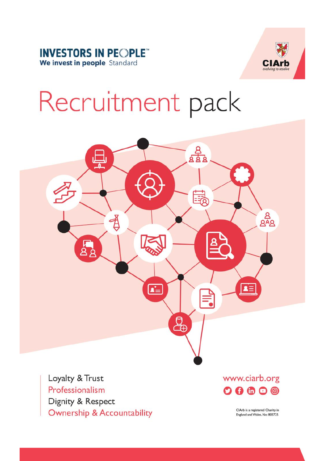



# Recruitment pack



Loyalty & Trust Professionalism Dignity & Respect **Ownership & Accountability**  www.ciarb.org  $\mathbf{O} \mathbf{O} \oplus \mathbf{O} \oplus$ 

> ClArb is a registered Charity in England and Wales, No: 803725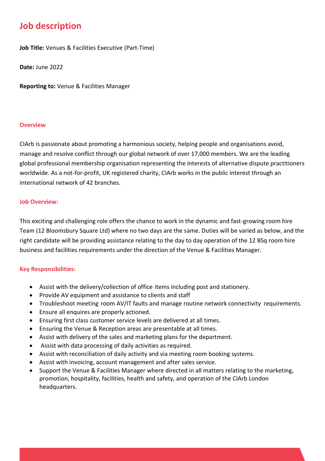### **Job description**

**Job Title:** Venues & Facilities Executive (Part-Time)

**Date:** June 2022

**Reporting to:** Venue & Facilities Manager

#### **Overview**

CIArb is passionate about promoting a harmonious society, helping people and organisations avoid, manage and resolve conflict through our global network of over 17,000 members. We are the leading global professional membership organisation representing the interests of alternative dispute practitioners worldwide. As a not-for-profit, UK registered charity, CIArb works in the public interest through an international network of 42 branches.

#### **Job Overview:**

This exciting and challenging role offers the chance to work in the dynamic and fast-growing room hire Team (12 Bloomsbury Square Ltd) where no two days are the same. Duties will be varied as below, and the right candidate will be providing assistance relating to the day to day operation of the 12 BSq room hire business and facilities requirements under the direction of the Venue & Facilities Manager.

#### **Key Responsibilities:**

- Assist with the delivery/collection of office items including post and stationery.
- Provide AV equipment and assistance to clients and staff
- Troubleshoot meeting room AV/IT faults and manage routine network connectivity requirements.
- Ensure all enquires are properly actioned.
- Ensuring first class customer service levels are delivered at all times.
- Ensuring the Venue & Reception areas are presentable at all times.
- Assist with delivery of the sales and marketing plans for the department.
- Assist with data processing of daily activities as required.
- Assist with reconciliation of daily activity and via meeting room booking systems.
- Assist with invoicing, account management and after sales service.
- Support the Venue & Facilities Manager where directed in all matters relating to the marketing, promotion, hospitality, facilities, health and safety, and operation of the CIArb London headquarters.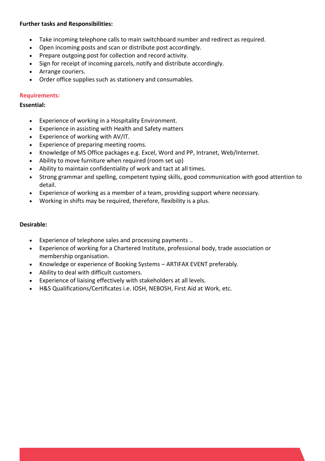#### **Further tasks and Responsibilities:**

- Take incoming telephone calls to main switchboard number and redirect as required.
- Open incoming posts and scan or distribute post accordingly.
- Prepare outgoing post for collection and record activity.
- Sign for receipt of incoming parcels, notify and distribute accordingly.
- Arrange couriers.
- Order office supplies such as stationery and consumables.

#### **Requirements:**

#### **Essential:**

- Experience of working in a Hospitality Environment.
- Experience in assisting with Health and Safety matters
- Experience of working with AV/IT.
- Experience of preparing meeting rooms.
- Knowledge of MS Office packages e.g. Excel, Word and PP, Intranet, Web/Internet.
- Ability to move furniture when required (room set up)
- Ability to maintain confidentiality of work and tact at all times.
- Strong grammar and spelling, competent typing skills, good communication with good attention to detail.
- Experience of working as a member of a team, providing support where necessary.
- Working in shifts may be required, therefore, flexibility is a plus.

#### **Desirable:**

- Experience of telephone sales and processing payments ..
- Experience of working for a Chartered Institute, professional body, trade association or membership organisation.
- Knowledge or experience of Booking Systems ARTIFAX EVENT preferably.
- Ability to deal with difficult customers.
- Experience of liaising effectively with stakeholders at all levels.
- H&S Qualifications/Certificates i.e. IOSH, NEBOSH, First Aid at Work, etc.